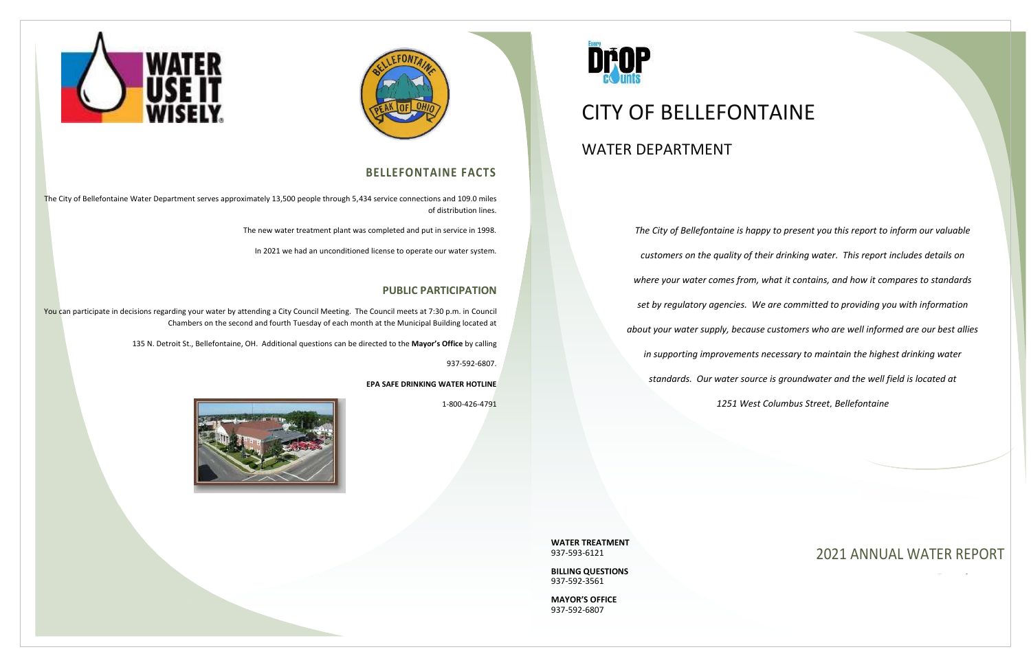*The City of Bellefontaine is happy to present you this report to inform our valuable customers on the quality of their drinking water. This report includes details on where your water comes from, what it contains, and how it compares to standards set by regulatory agencies. We are committed to providing you with information about your water supply, because customers who are well informed are our best allies in supporting improvements necessary to maintain the highest drinking water standards. Our water source is groundwater and the well field is located at 1251 West Columbus Street, Bellefontaine*





The City of Bellefontaine Water Department serves approximately 13,500 people through 5,434 service connections and 109.0 miles of distribution lines.

> **WATER TREATMENT** 937-593-6121

You can participate in decisions regarding your water by attending a City Council Meeting. The Council meets at 7:30 p.m. in Council Chambers on the second and fourth Tuesday of each month at the Municipal Building located at

> **BILLING QUESTIONS** 937-592-3561

**MAYOR'S OFFICE** 937-592-6807



# CITY OF BELLEFONTAINE WATER DEPARTMENT

# **BELLEFONTAINE FACTS**

The new water treatment plant was completed and put in service in 1998.

In 2021 we had an unconditioned license to operate our water system.

## **PUBLIC PARTICIPATION**

135 N. Detroit St., Bellefontaine, OH. Additional questions can be directed to the **Mayor's Office** by calling

937-592-6807.

**EPA SAFE DRINKING WATER HOTLINE**

1-800-426-4791



# 2021 ANNUAL WATER REPORT

Business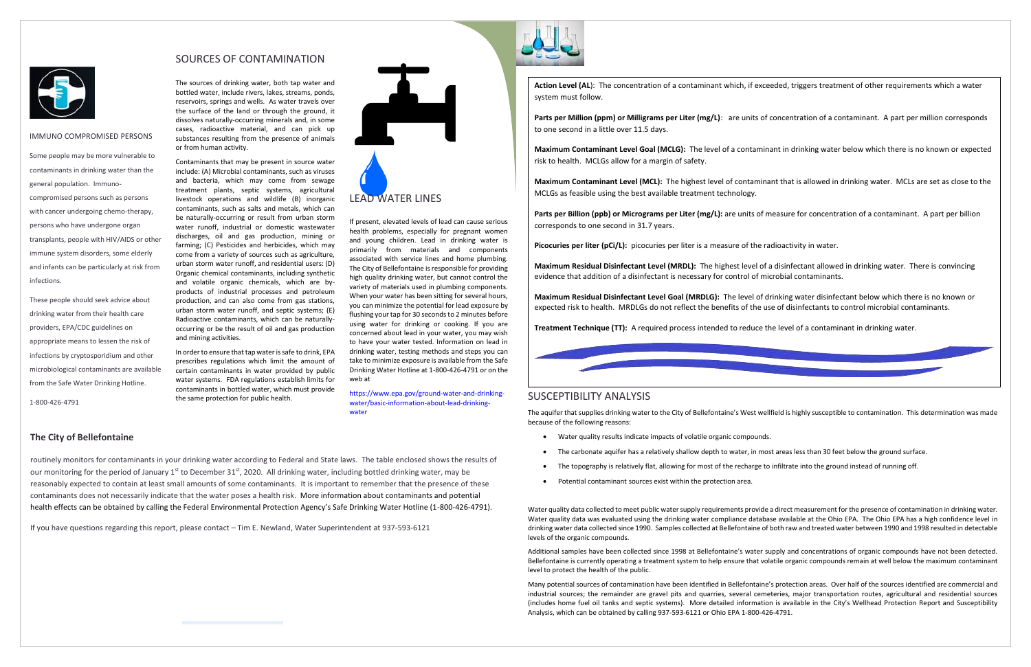#### **The City of Bellefontaine**

routinely monitors for contaminants in your drinking water according to Federal and State laws. The table enclosed shows the results of our monitoring for the period of January 1<sup>st</sup> to December 31<sup>st</sup>, 2020. All drinking water, including bottled drinking water, may be reasonably expected to contain at least small amounts of some contaminants. It is important to remember that the presence of these contaminants does not necessarily indicate that the water poses a health risk. More information about contaminants and potential health effects can be obtained by calling the Federal Environmental Protection Agency's Safe Drinking Water Hotline (1-800-426-4791).

Parts per Million (ppm) or Milligrams per Liter (mg/L): are units of concentration of a contaminant. A part per million corresponds to one second in a little over 11.5 days.

If you have questions regarding this report, please contact – Tim E. Newland, Water Superintendent at 937-593-6121



Parts per Billion (ppb) or Micrograms per Liter (mg/L): are units of measure for concentration of a contaminant. A part per billion corresponds to one second in 31.7 years.

**Action Level (AL**): The concentration of a contaminant which, if exceeded, triggers treatment of other requirements which a water system must follow.

**Maximum Contaminant Level Goal (MCLG):** The level of a contaminant in drinking water below which there is no known or expected risk to health. MCLGs allow for a margin of safety.

- Water quality results indicate impacts of volatile organic compounds.
- The carbonate aquifer has a relatively shallow depth to water, in most areas less than 30 feet below the ground surface.
- 
- Potential contaminant sources exist within the protection area.

**Maximum Contaminant Level (MCL):** The highest level of contaminant that is allowed in drinking water. MCLs are set as close to the MCLGs as feasible using the best available treatment technology.

**Picocuries per liter (pCi/L):** picocuries per liter is a measure of the radioactivity in water.

**Maximum Residual Disinfectant Level (MRDL):** The highest level of a disinfectant allowed in drinking water. There is convincing evidence that addition of a disinfectant is necessary for control of microbial contaminants.

**Maximum Residual Disinfectant Level Goal (MRDLG):** The level of drinking water disinfectant below which there is no known or expected risk to health. MRDLGs do not reflect the benefits of the use of disinfectants to control microbial contaminants.

**Treatment Technique (TT):** A required process intended to reduce the level of a contaminant in drinking water.



#### SUSCEPTIBILITY ANALYSIS

The aquifer that supplies drinking water to the City of Bellefontaine's West wellfield is highly susceptible to contamination. This determination was made because of the following reasons:

Water quality data collected to meet public water supply requirements provide a direct measurement for the presence of contamination in drinking water. Water quality data was evaluated using the drinking water compliance database available at the Ohio EPA. The Ohio EPA has a high confidence level in drinking water data collected since 1990. Samples collected at Bellefontaine of both raw and treated water between 1990 and 1998 resulted in detectable levels of the organic compounds.

Additional samples have been collected since 1998 at Bellefontaine's water supply and concentrations of organic compounds have not been detected. Bellefontaine is currently operating a treatment system to help ensure that volatile organic compounds remain at well below the maximum contaminant level to protect the health of the public.

Many potential sources of contamination have been identified in Bellefontaine's protection areas. Over half of the sources identified are commercial and industrial sources; the remainder are gravel pits and quarries, several cemeteries, major transportation routes, agricultural and residential sources (includes home fuel oil tanks and septic systems). More detailed information is available in the City's Wellhead Protection Report and Susceptibility Analysis, which can be obtained by calling 937-593-6121 or Ohio EPA 1-800-426-4791.

The topography is relatively flat, allowing for most of the recharge to infiltrate into the ground instead of running off.



#### IMMUNO COMPROMISED PERSONS

Some people may be more vulnerable to contaminants in drinking water than the general population. Immunocompromised persons such as persons with cancer undergoing chemo-therapy, persons who have undergone organ transplants, people with HIV/AIDS or other immune system disorders, some elderly and infants can be particularly at risk from infections.

These people should seek advice about drinking water from their health care providers, EPA/CDC guidelines on appropriate means to lessen the risk of infections by cryptosporidium and other microbiological contaminants are available from the Safe Water Drinking Hotline.

1-800-426-4791

### SOURCES OF CONTAMINATION

The sources of drinking water, both tap water and bottled water, include rivers, lakes, streams, ponds, reservoirs, springs and wells. As water travels over the surface of the land or through the ground, it dissolves naturally-occurring minerals and, in some cases, radioactive material, and can pick up substances resulting from the presence of animals or from human activity.

Contaminants that may be present in source water include: (A) Microbial contaminants, such as viruses and bacteria, which may come from sewage treatment plants, septic systems, agricultural livestock operations and wildlife (B) inorganic contaminants, such as salts and metals, which can be naturally-occurring or result from urban storm water runoff, industrial or domestic wastewater discharges, oil and gas production, mining or farming; (C) Pesticides and herbicides, which may come from a variety of sources such as agriculture, urban storm water runoff, and residential users: (D) Organic chemical contaminants, including synthetic and volatile organic chemicals, which are byproducts of industrial processes and petroleum production, and can also come from gas stations, urban storm water runoff, and septic systems; (E) Radioactive contaminants, which can be naturallyoccurring or be the result of oil and gas production and mining activities.

In order to ensure that tap water is safe to drink, EPA prescribes regulations which limit the amount of certain contaminants in water provided by public water systems. FDA regulations establish limits for contaminants in bottled water, which must provide the same protection for public health.

LEAD WATER LINES

If present, elevated levels of lead can cause serious health problems, especially for pregnant women and young children. Lead in drinking water is primarily from materials and components associated with service lines and home plumbing. The City of Bellefontaine is responsible for providing high quality drinking water, but cannot control the variety of materials used in plumbing components. When your water has been sitting for several hours, you can minimize the potential for lead exposure by flushing your tap for 30 seconds to 2 minutes before using water for drinking or cooking. If you are concerned about lead in your water, you may wish to have your water tested. Information on lead in drinking water, testing methods and steps you can take to minimize exposure is available from the Safe Drinking Water Hotline at 1-800-426-4791 or on the web at

https://www.epa.gov/ground-water-and-drinkingwater/basic-information-about-lead-drinkingwater